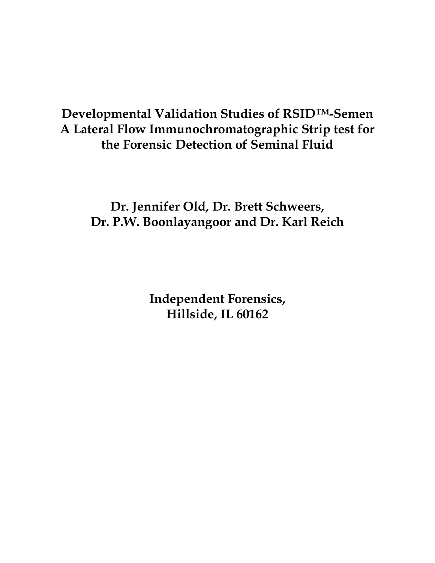# **Developmental Validation Studies of RSIDTM-Semen A Lateral Flow Immunochromatographic Strip test for the Forensic Detection of Seminal Fluid**

**Dr. Jennifer Old, Dr. Brett Schweers, Dr. P.W. Boonlayangoor and Dr. Karl Reich**

> **Independent Forensics, Hillside, IL 60162**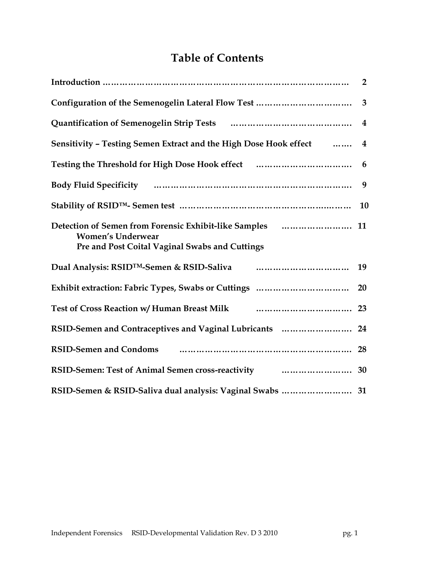# **Table of Contents**

|                                                                                                                                                                                                                                                 | $\overline{3}$ |
|-------------------------------------------------------------------------------------------------------------------------------------------------------------------------------------------------------------------------------------------------|----------------|
|                                                                                                                                                                                                                                                 |                |
| Sensitivity - Testing Semen Extract and the High Dose Hook effect  4                                                                                                                                                                            |                |
| Testing the Threshold for High Dose Hook effect                                                                                                                                                                                                 | 6              |
| Body Fluid Specificity manual contracts and the second specificity                                                                                                                                                                              | 9              |
|                                                                                                                                                                                                                                                 | <b>10</b>      |
| <b>Women's Underwear</b><br>Pre and Post Coital Vaginal Swabs and Cuttings                                                                                                                                                                      |                |
| Dual Analysis: RSID <sup>TM</sup> -Semen & RSID-Saliva <b>Communist Contract Contract Contract Contract Contract Contract Contract Contract Contract Contract Contract Contract Contract Contract Contract Contract Contract Contract Contr</b> | 19             |
|                                                                                                                                                                                                                                                 | 20             |
| Test of Cross Reaction w/ Human Breast Milk <b>Carolina Communist Milk</b> 23                                                                                                                                                                   |                |
| RSID-Semen and Contraceptives and Vaginal Lubricants  24                                                                                                                                                                                        |                |
| RSID-Semen and Condoms <b>contained a material condoms</b> and condoms <b>contained a material condom</b> and condoms a set of $28$                                                                                                             |                |
| RSID-Semen: Test of Animal Semen cross-reactivity manufacturers. 30                                                                                                                                                                             |                |
| RSID-Semen & RSID-Saliva dual analysis: Vaginal Swabs  31                                                                                                                                                                                       |                |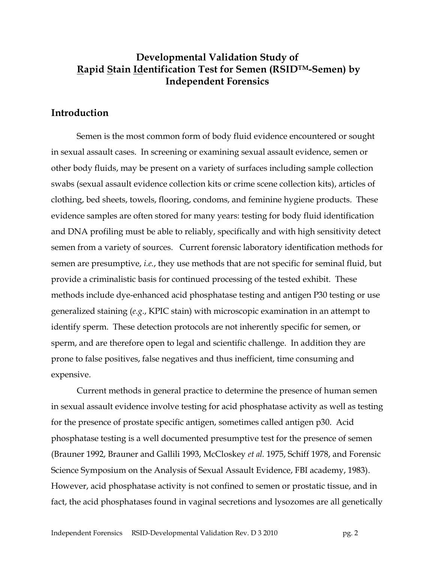## **Developmental Validation Study of Rapid Stain Identification Test for Semen (RSIDTM-Semen) by Independent Forensics**

### **Introduction**

Semen is the most common form of body fluid evidence encountered or sought in sexual assault cases. In screening or examining sexual assault evidence, semen or other body fluids, may be present on a variety of surfaces including sample collection swabs (sexual assault evidence collection kits or crime scene collection kits), articles of clothing, bed sheets, towels, flooring, condoms, and feminine hygiene products. These evidence samples are often stored for many years: testing for body fluid identification and DNA profiling must be able to reliably, specifically and with high sensitivity detect semen from a variety of sources. Current forensic laboratory identification methods for semen are presumptive, *i.e.*, they use methods that are not specific for seminal fluid, but provide a criminalistic basis for continued processing of the tested exhibit. These methods include dye-enhanced acid phosphatase testing and antigen P30 testing or use generalized staining (*e.g*., KPIC stain) with microscopic examination in an attempt to identify sperm. These detection protocols are not inherently specific for semen, or sperm, and are therefore open to legal and scientific challenge. In addition they are prone to false positives, false negatives and thus inefficient, time consuming and expensive.

Current methods in general practice to determine the presence of human semen in sexual assault evidence involve testing for acid phosphatase activity as well as testing for the presence of prostate specific antigen, sometimes called antigen p30. Acid phosphatase testing is a well documented presumptive test for the presence of semen (Brauner 1992, Brauner and Gallili 1993, McCloskey *et al.* 1975, Schiff 1978, and Forensic Science Symposium on the Analysis of Sexual Assault Evidence, FBI academy, 1983). However, acid phosphatase activity is not confined to semen or prostatic tissue, and in fact, the acid phosphatases found in vaginal secretions and lysozomes are all genetically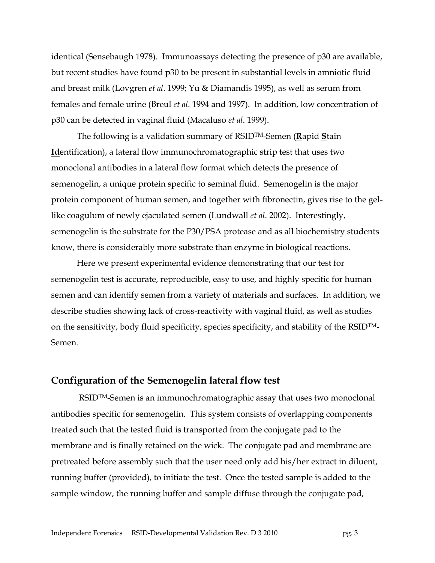identical (Sensebaugh 1978). Immunoassays detecting the presence of p30 are available, but recent studies have found p30 to be present in substantial levels in amniotic fluid and breast milk (Lovgren *et al*. 1999; Yu & Diamandis 1995), as well as serum from females and female urine (Breul *et al*. 1994 and 1997). In addition, low concentration of p30 can be detected in vaginal fluid (Macaluso *et al*. 1999).

The following is a validation summary of RSIDTM-Semen (**R**apid **S**tain **Id**entification), a lateral flow immunochromatographic strip test that uses two monoclonal antibodies in a lateral flow format which detects the presence of semenogelin, a unique protein specific to seminal fluid. Semenogelin is the major protein component of human semen, and together with fibronectin, gives rise to the gellike coagulum of newly ejaculated semen (Lundwall *et al*. 2002). Interestingly, semenogelin is the substrate for the P30/PSA protease and as all biochemistry students know, there is considerably more substrate than enzyme in biological reactions.

Here we present experimental evidence demonstrating that our test for semenogelin test is accurate, reproducible, easy to use, and highly specific for human semen and can identify semen from a variety of materials and surfaces. In addition, we describe studies showing lack of cross-reactivity with vaginal fluid, as well as studies on the sensitivity, body fluid specificity, species specificity, and stability of the  $RSID^{TM}$ -Semen.

### **Configuration of the Semenogelin lateral flow test**

RSIDTM-Semen is an immunochromatographic assay that uses two monoclonal antibodies specific for semenogelin. This system consists of overlapping components treated such that the tested fluid is transported from the conjugate pad to the membrane and is finally retained on the wick. The conjugate pad and membrane are pretreated before assembly such that the user need only add his/her extract in diluent, running buffer (provided), to initiate the test. Once the tested sample is added to the sample window, the running buffer and sample diffuse through the conjugate pad,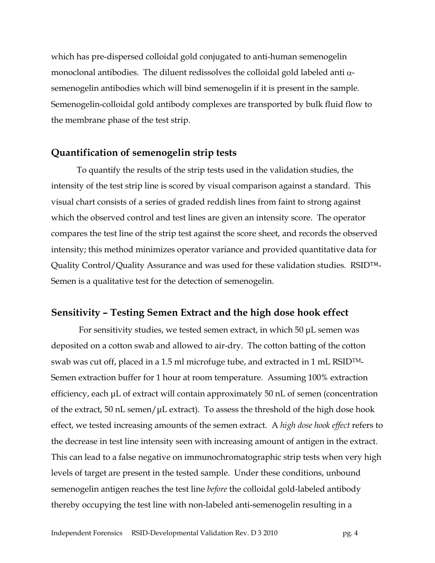which has pre-dispersed colloidal gold conjugated to anti-human semenogelin monoclonal antibodies. The diluent redissolves the colloidal gold labeled anti  $\alpha$ semenogelin antibodies which will bind semenogelin if it is present in the sample. Semenogelin-colloidal gold antibody complexes are transported by bulk fluid flow to the membrane phase of the test strip.

### **Quantification of semenogelin strip tests**

To quantify the results of the strip tests used in the validation studies, the intensity of the test strip line is scored by visual comparison against a standard. This visual chart consists of a series of graded reddish lines from faint to strong against which the observed control and test lines are given an intensity score. The operator compares the test line of the strip test against the score sheet, and records the observed intensity; this method minimizes operator variance and provided quantitative data for Quality Control/Quality Assurance and was used for these validation studies. RSID™- Semen is a qualitative test for the detection of semenogelin.

#### **Sensitivity – Testing Semen Extract and the high dose hook effect**

For sensitivity studies, we tested semen extract, in which 50 μL semen was deposited on a cotton swab and allowed to air-dry. The cotton batting of the cotton swab was cut off, placed in a 1.5 ml microfuge tube, and extracted in 1 mL RSID $TM$ Semen extraction buffer for 1 hour at room temperature. Assuming 100% extraction efficiency, each μL of extract will contain approximately 50 nL of semen (concentration of the extract, 50 nL semen/μL extract). To assess the threshold of the high dose hook effect, we tested increasing amounts of the semen extract. A *high dose hook effect* refers to the decrease in test line intensity seen with increasing amount of antigen in the extract. This can lead to a false negative on immunochromatographic strip tests when very high levels of target are present in the tested sample. Under these conditions, unbound semenogelin antigen reaches the test line *before* the colloidal gold-labeled antibody thereby occupying the test line with non-labeled anti-semenogelin resulting in a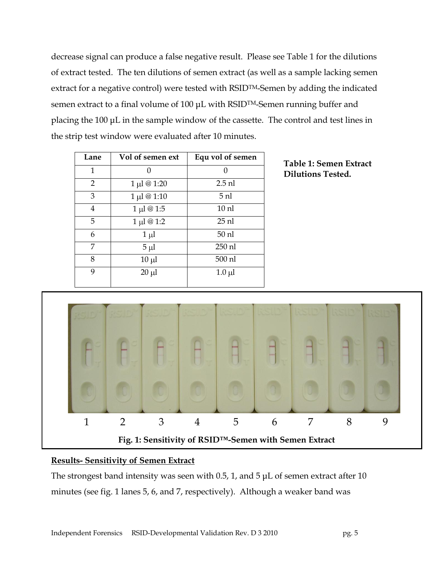decrease signal can produce a false negative result. Please see Table 1 for the dilutions of extract tested. The ten dilutions of semen extract (as well as a sample lacking semen extract for a negative control) were tested with RSID<sup>TM</sup>-Semen by adding the indicated semen extract to a final volume of 100 μL with RSIDTM-Semen running buffer and placing the 100 μL in the sample window of the cassette. The control and test lines in the strip test window were evaluated after 10 minutes.

| Lane           | Vol of semen ext       | Equ vol of semen |
|----------------|------------------------|------------------|
| 1              |                        | O                |
| $\overline{2}$ | $1 \mu l \otimes 1:20$ | $2.5$ nl         |
| 3              | 1 µl @ 1:10            | 5 <sub>nl</sub>  |
| $\overline{4}$ | $1 \mu l \ @ 1:5$      | 10 <sub>nl</sub> |
| 5              | 1 μl @ 1:2             | $25$ nl          |
| 6              | $1 \mu l$              | $50$ nl          |
| 7              | $5 \mu l$              | 250 nl           |
| 8              | $10 \mu l$             | 500 nl           |
| 9              | $20 \mu l$             | $1.0 \mu l$      |
|                |                        |                  |





#### **Results- Sensitivity of Semen Extract**

The strongest band intensity was seen with 0.5, 1, and 5  $\mu$ L of semen extract after 10 minutes (see fig. 1 lanes 5, 6, and 7, respectively). Although a weaker band was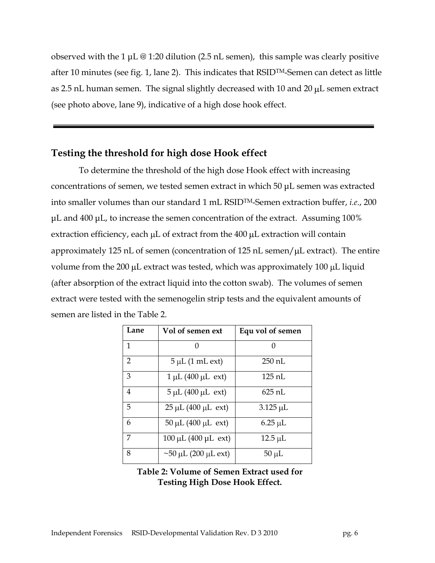observed with the 1  $\mu$ L  $\omega$  1:20 dilution (2.5 nL semen), this sample was clearly positive after 10 minutes (see fig. 1, lane 2). This indicates that RSIDTM-Semen can detect as little as 2.5 nL human semen. The signal slightly decreased with 10 and 20  $\mu$ L semen extract (see photo above, lane 9), indicative of a high dose hook effect.

### **Testing the threshold for high dose Hook effect**

To determine the threshold of the high dose Hook effect with increasing concentrations of semen, we tested semen extract in which 50 μL semen was extracted into smaller volumes than our standard 1 mL RSIDTM-Semen extraction buffer, *i.e*., 200 μL and 400 μL, to increase the semen concentration of the extract. Assuming 100% extraction efficiency, each  $\mu$ L of extract from the 400  $\mu$ L extraction will contain approximately 125 nL of semen (concentration of 125 nL semen/ $\mu$ L extract). The entire volume from the 200  $\mu$ L extract was tested, which was approximately 100  $\mu$ L liquid (after absorption of the extract liquid into the cotton swab). The volumes of semen extract were tested with the semenogelin strip tests and the equivalent amounts of semen are listed in the Table 2.

| Lane           | Vol of semen ext                   | Equ vol of semen |
|----------------|------------------------------------|------------------|
| 1              |                                    | 0                |
| $\overline{2}$ | $5 \mu L$ (1 mL ext)               | 250 nL           |
| 3              | $1 \mu L (400 \mu L \text{ ext})$  | 125 nL           |
| 4              | $5 \mu L (400 \mu L \text{ ext})$  | 625 nL           |
| 5              | $25 \mu L (400 \mu L \text{ ext})$ | $3.125 \mu L$    |
| 6              | $50 \mu L (400 \mu L \text{ ext})$ | $6.25 \mu L$     |
| 7              | 100 μL (400 μL ext)                | $12.5 \mu L$     |
| 8              | $\sim$ 50 µL (200 µL ext)          | $50 \mu L$       |

#### **Table 2: Volume of Semen Extract used for Testing High Dose Hook Effect.**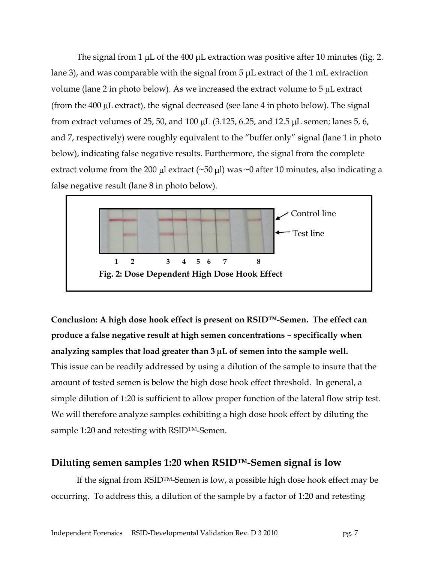The signal from 1  $\mu$ L of the 400  $\mu$ L extraction was positive after 10 minutes (fig. 2. lane 3), and was comparable with the signal from 5 μL extract of the 1 mL extraction volume (lane 2 in photo below). As we increased the extract volume to  $5 \mu L$  extract (from the 400  $\mu$ L extract), the signal decreased (see lane 4 in photo below). The signal from extract volumes of 25, 50, and 100  $\mu$ L (3.125, 6.25, and 12.5  $\mu$ L semen; lanes 5, 6, and 7, respectively) were roughly equivalent to the "buffer only" signal (lane 1 in photo below), indicating false negative results. Furthermore, the signal from the complete extract volume from the 200 µl extract (~50 µl) was ~0 after 10 minutes, also indicating a false negative result (lane 8 in photo below).



**Conclusion: A high dose hook effect is present on RSID™-Semen. The effect can produce a false negative result at high semen concentrations – specifically when**  analyzing samples that load greater than 3  $\mu$ L of semen into the sample well. This issue can be readily addressed by using a dilution of the sample to insure that the amount of tested semen is below the high dose hook effect threshold. In general, a simple dilution of 1:20 is sufficient to allow proper function of the lateral flow strip test. We will therefore analyze samples exhibiting a high dose hook effect by diluting the sample 1:20 and retesting with RSID<sup>TM</sup>-Semen.

### **Diluting semen samples 1:20 when RSID™-Semen signal is low**

If the signal from RSIDTM-Semen is low, a possible high dose hook effect may be occurring. To address this, a dilution of the sample by a factor of 1:20 and retesting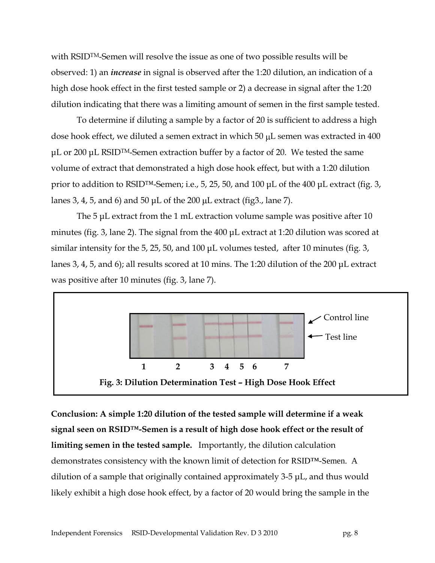with RSIDTM-Semen will resolve the issue as one of two possible results will be observed: 1) an *increase* in signal is observed after the 1:20 dilution, an indication of a high dose hook effect in the first tested sample or 2) a decrease in signal after the 1:20 dilution indicating that there was a limiting amount of semen in the first sample tested.

To determine if diluting a sample by a factor of 20 is sufficient to address a high dose hook effect, we diluted a semen extract in which  $50 \mu$ L semen was extracted in  $400$ μL or 200 μL RSID<sup>TM</sup>-Semen extraction buffer by a factor of 20. We tested the same volume of extract that demonstrated a high dose hook effect, but with a 1:20 dilution prior to addition to RSID™-Semen; i.e., 5, 25, 50, and 100 μL of the 400 μL extract (fig. 3, lanes 3, 4, 5, and 6) and 50  $\mu$ L of the 200  $\mu$ L extract (fig3., lane 7).

The 5 μL extract from the 1 mL extraction volume sample was positive after 10 minutes (fig. 3, lane 2). The signal from the 400 μL extract at 1:20 dilution was scored at similar intensity for the 5, 25, 50, and 100 μL volumes tested, after 10 minutes (fig. 3, lanes 3, 4, 5, and 6); all results scored at 10 mins. The 1:20 dilution of the 200 μL extract was positive after 10 minutes (fig. 3, lane 7).



**Conclusion: A simple 1:20 dilution of the tested sample will determine if a weak signal seen on RSID™-Semen is a result of high dose hook effect or the result of limiting semen in the tested sample.** Importantly, the dilution calculation demonstrates consistency with the known limit of detection for RSID™-Semen. A dilution of a sample that originally contained approximately 3-5 μL, and thus would likely exhibit a high dose hook effect, by a factor of 20 would bring the sample in the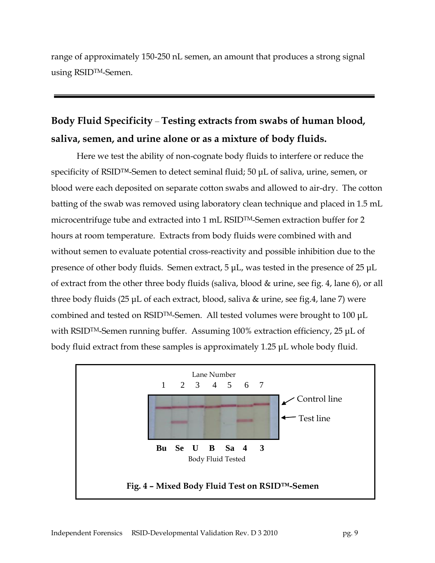range of approximately 150-250 nL semen, an amount that produces a strong signal using RSIDTM-Semen.

# **Body Fluid Specificity** – **Testing extracts from swabs of human blood, saliva, semen, and urine alone or as a mixture of body fluids.**

Here we test the ability of non-cognate body fluids to interfere or reduce the specificity of RSID™-Semen to detect seminal fluid; 50 μL of saliva, urine, semen, or blood were each deposited on separate cotton swabs and allowed to air-dry. The cotton batting of the swab was removed using laboratory clean technique and placed in 1.5 mL microcentrifuge tube and extracted into 1 mL RSIDTM-Semen extraction buffer for 2 hours at room temperature. Extracts from body fluids were combined with and without semen to evaluate potential cross-reactivity and possible inhibition due to the presence of other body fluids. Semen extract, 5 μL, was tested in the presence of 25 μL of extract from the other three body fluids (saliva, blood & urine, see fig. 4, lane 6), or all three body fluids (25 μL of each extract, blood, saliva & urine, see fig.4, lane 7) were combined and tested on RSIDTM-Semen. All tested volumes were brought to 100 μL with RSID<sup>TM</sup>-Semen running buffer. Assuming 100% extraction efficiency, 25 μL of body fluid extract from these samples is approximately 1.25 μL whole body fluid.

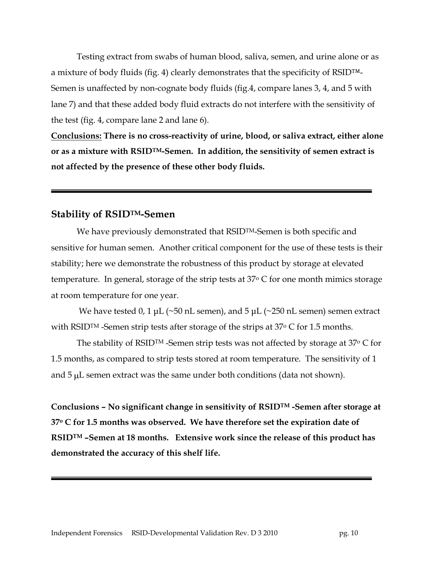Testing extract from swabs of human blood, saliva, semen, and urine alone or as a mixture of body fluids (fig. 4) clearly demonstrates that the specificity of RSID™- Semen is unaffected by non-cognate body fluids (fig.4, compare lanes 3, 4, and 5 with lane 7) and that these added body fluid extracts do not interfere with the sensitivity of the test (fig. 4, compare lane 2 and lane 6).

**Conclusions: There is no cross-reactivity of urine, blood, or saliva extract, either alone or as a mixture with RSIDTM-Semen. In addition, the sensitivity of semen extract is not affected by the presence of these other body fluids.**

### **Stability of RSIDTM-Semen**

We have previously demonstrated that RSID<sup>TM</sup>-Semen is both specific and sensitive for human semen. Another critical component for the use of these tests is their stability; here we demonstrate the robustness of this product by storage at elevated temperature. In general, storage of the strip tests at  $37^{\circ}$  C for one month mimics storage at room temperature for one year.

We have tested 0, 1  $\mu$ L (~50 nL semen), and 5  $\mu$ L (~250 nL semen) semen extract with RSID<sup>TM</sup> -Semen strip tests after storage of the strips at 37<sup>o</sup> C for 1.5 months.

The stability of RSID<sup>TM</sup> -Semen strip tests was not affected by storage at  $37^{\circ}$  C for 1.5 months, as compared to strip tests stored at room temperature. The sensitivity of 1 and  $5 \mu$ L semen extract was the same under both conditions (data not shown).

**Conclusions – No significant change in sensitivity of RSIDTM -Semen after storage at 37<sup>o</sup> C for 1.5 months was observed. We have therefore set the expiration date of RSIDTM –Semen at 18 months. Extensive work since the release of this product has demonstrated the accuracy of this shelf life.**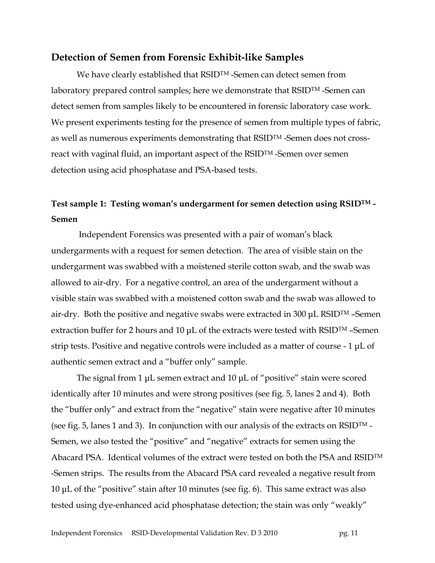#### **Detection of Semen from Forensic Exhibit-like Samples**

We have clearly established that RSID<sup>TM</sup> -Semen can detect semen from laboratory prepared control samples; here we demonstrate that RSIDTM -Semen can detect semen from samples likely to be encountered in forensic laboratory case work. We present experiments testing for the presence of semen from multiple types of fabric, as well as numerous experiments demonstrating that RSIDTM -Semen does not crossreact with vaginal fluid, an important aspect of the RSIDTM -Semen over semen detection using acid phosphatase and PSA-based tests.

## **Test sample 1: Testing woman's undergarment for semen detection using RSIDTM - Semen**

Independent Forensics was presented with a pair of woman"s black undergarments with a request for semen detection. The area of visible stain on the undergarment was swabbed with a moistened sterile cotton swab, and the swab was allowed to air-dry. For a negative control, an area of the undergarment without a visible stain was swabbed with a moistened cotton swab and the swab was allowed to air-dry. Both the positive and negative swabs were extracted in 300  $\mu$ L RSID<sup>TM</sup> –Semen extraction buffer for 2 hours and 10  $\mu$ L of the extracts were tested with RSID<sup>TM</sup> –Semen strip tests. Positive and negative controls were included as a matter of course - 1 μL of authentic semen extract and a "buffer only" sample.

The signal from 1 μL semen extract and 10 μL of "positive" stain were scored identically after 10 minutes and were strong positives (see fig. 5, lanes 2 and 4). Both the "buffer only" and extract from the "negative" stain were negative after 10 minutes (see fig. 5, lanes 1 and 3). In conjunction with our analysis of the extracts on RSID<sup>TM</sup> -Semen, we also tested the "positive" and "negative" extracts for semen using the Abacard PSA. Identical volumes of the extract were tested on both the PSA and RSIDTM -Semen strips. The results from the Abacard PSA card revealed a negative result from 10 μL of the "positive" stain after 10 minutes (see fig. 6). This same extract was also tested using dye-enhanced acid phosphatase detection; the stain was only "weakly"

Independent Forensics RSID-Developmental Validation Rev. D 3 2010 pg. 11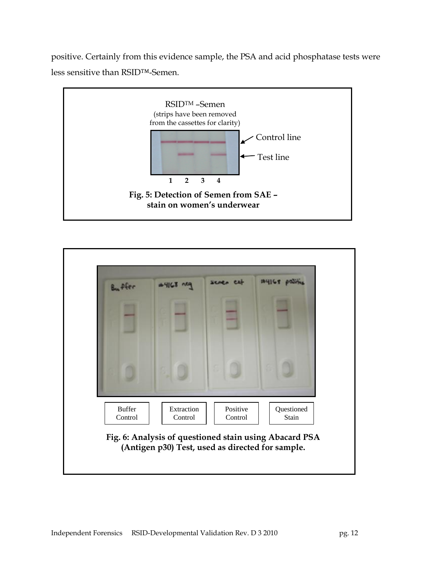positive. Certainly from this evidence sample, the PSA and acid phosphatase tests were less sensitive than RSID™-Semen.



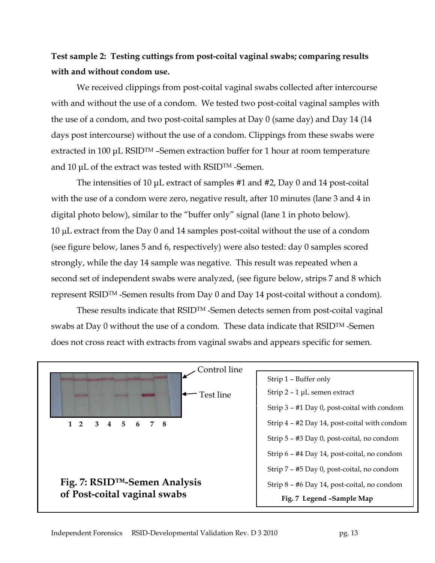# **Test sample 2: Testing cuttings from post-coital vaginal swabs; comparing results with and without condom use.**

We received clippings from post-coital vaginal swabs collected after intercourse with and without the use of a condom. We tested two post-coital vaginal samples with the use of a condom, and two post-coital samples at Day 0 (same day) and Day 14 (14 days post intercourse) without the use of a condom. Clippings from these swabs were extracted in 100 μL RSIDTM –Semen extraction buffer for 1 hour at room temperature and 10 μL of the extract was tested with RSIDTM -Semen.

The intensities of 10 μL extract of samples #1 and #2, Day 0 and 14 post-coital with the use of a condom were zero, negative result, after 10 minutes (lane 3 and 4 in digital photo below), similar to the "buffer only" signal (lane 1 in photo below).  $10 \mu$ L extract from the Day 0 and 14 samples post-coital without the use of a condom (see figure below, lanes 5 and 6, respectively) were also tested: day 0 samples scored strongly, while the day 14 sample was negative. This result was repeated when a second set of independent swabs were analyzed, (see figure below, strips 7 and 8 which represent RSIDTM -Semen results from Day 0 and Day 14 post-coital without a condom).

These results indicate that RSIDTM -Semen detects semen from post-coital vaginal swabs at Day 0 without the use of a condom. These data indicate that RSID<sup>TM</sup> -Semen does not cross react with extracts from vaginal swabs and appears specific for semen.

| Control line                 |                                              |
|------------------------------|----------------------------------------------|
|                              | Strip 1 - Buffer only                        |
| Test line                    | Strip $2 - 1$ µL semen extract               |
|                              | Strip 3 - #1 Day 0, post-coital with condom  |
| 1 2 3 4 5 6 7 8              | Strip 4 – #2 Day 14, post-coital with condom |
|                              | Strip 5 - #3 Day 0, post-coital, no condom   |
|                              | Strip 6 - #4 Day 14, post-coital, no condom  |
|                              | Strip 7 - #5 Day 0, post-coital, no condom   |
| Fig. 7: RSID™-Semen Analysis | Strip 8 - #6 Day 14, post-coital, no condom  |
| of Post-coital vaginal swabs | Fig. 7 Legend -Sample Map                    |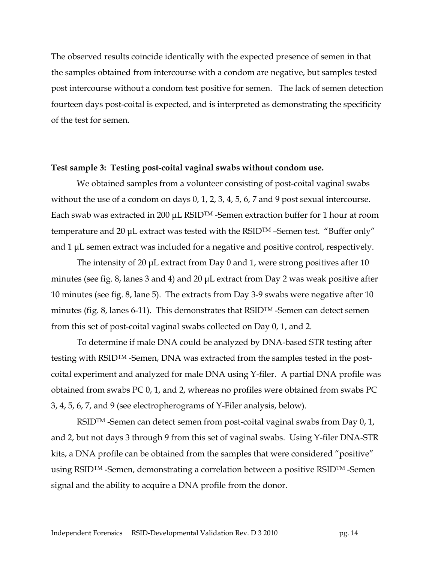The observed results coincide identically with the expected presence of semen in that the samples obtained from intercourse with a condom are negative, but samples tested post intercourse without a condom test positive for semen. The lack of semen detection fourteen days post-coital is expected, and is interpreted as demonstrating the specificity of the test for semen.

#### **Test sample 3: Testing post-coital vaginal swabs without condom use.**

We obtained samples from a volunteer consisting of post-coital vaginal swabs without the use of a condom on days 0, 1, 2, 3, 4, 5, 6, 7 and 9 post sexual intercourse. Each swab was extracted in 200 μL RSIDTM -Semen extraction buffer for 1 hour at room temperature and 20 μL extract was tested with the RSIDTM –Semen test. "Buffer only" and 1 μL semen extract was included for a negative and positive control, respectively.

The intensity of 20 μL extract from Day 0 and 1, were strong positives after 10 minutes (see fig. 8, lanes 3 and 4) and 20 μL extract from Day 2 was weak positive after 10 minutes (see fig. 8, lane 5). The extracts from Day 3-9 swabs were negative after 10 minutes (fig. 8, lanes 6-11). This demonstrates that RSIDTM -Semen can detect semen from this set of post-coital vaginal swabs collected on Day 0, 1, and 2.

To determine if male DNA could be analyzed by DNA-based STR testing after testing with RSIDTM -Semen, DNA was extracted from the samples tested in the postcoital experiment and analyzed for male DNA using Y-filer. A partial DNA profile was obtained from swabs PC 0, 1, and 2, whereas no profiles were obtained from swabs PC 3, 4, 5, 6, 7, and 9 (see electropherograms of Y-Filer analysis, below).

RSID<sup>TM</sup> -Semen can detect semen from post-coital vaginal swabs from Day 0, 1, and 2, but not days 3 through 9 from this set of vaginal swabs. Using Y-filer DNA-STR kits, a DNA profile can be obtained from the samples that were considered "positive" using RSID<sup>TM</sup> -Semen, demonstrating a correlation between a positive RSID<sup>TM</sup> -Semen signal and the ability to acquire a DNA profile from the donor.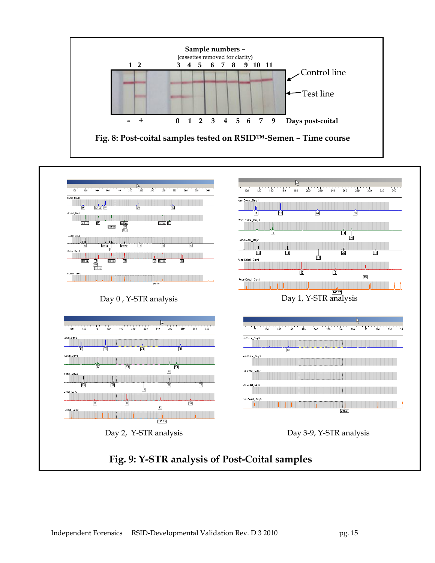

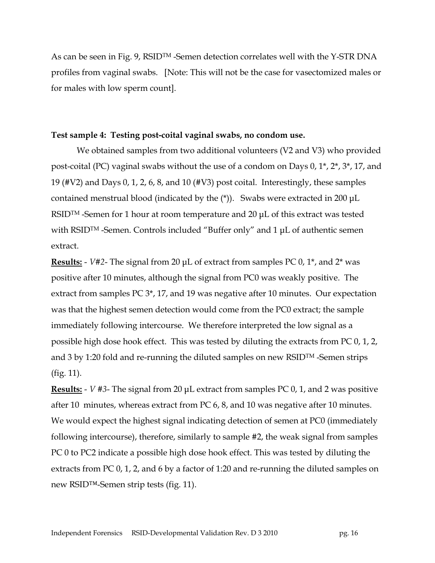As can be seen in Fig. 9, RSIDTM -Semen detection correlates well with the Y-STR DNA profiles from vaginal swabs. [Note: This will not be the case for vasectomized males or for males with low sperm count].

#### **Test sample 4: Testing post-coital vaginal swabs, no condom use.**

We obtained samples from two additional volunteers (V2 and V3) who provided post-coital (PC) vaginal swabs without the use of a condom on Days 0, 1\*, 2\*, 3\*, 17, and 19 (#V2) and Days 0, 1, 2, 6, 8, and 10 (#V3) post coital. Interestingly, these samples contained menstrual blood (indicated by the (\*)). Swabs were extracted in 200 μL RSIDTM -Semen for 1 hour at room temperature and 20 μL of this extract was tested with RSID<sup>TM</sup> -Semen. Controls included "Buffer only" and 1 μL of authentic semen extract.

**Results:** - *V#2*- The signal from 20 μL of extract from samples PC 0, 1\*, and 2\* was positive after 10 minutes, although the signal from PC0 was weakly positive. The extract from samples PC 3\*, 17, and 19 was negative after 10 minutes. Our expectation was that the highest semen detection would come from the PC0 extract; the sample immediately following intercourse. We therefore interpreted the low signal as a possible high dose hook effect. This was tested by diluting the extracts from PC 0, 1, 2, and 3 by 1:20 fold and re-running the diluted samples on new RSIDTM -Semen strips (fig. 11).

**Results:** - *V #3*- The signal from 20 μL extract from samples PC 0, 1, and 2 was positive after 10 minutes, whereas extract from PC 6, 8, and 10 was negative after 10 minutes. We would expect the highest signal indicating detection of semen at PC0 (immediately following intercourse), therefore, similarly to sample #2, the weak signal from samples PC 0 to PC2 indicate a possible high dose hook effect. This was tested by diluting the extracts from PC 0, 1, 2, and 6 by a factor of 1:20 and re-running the diluted samples on new RSID™-Semen strip tests (fig. 11).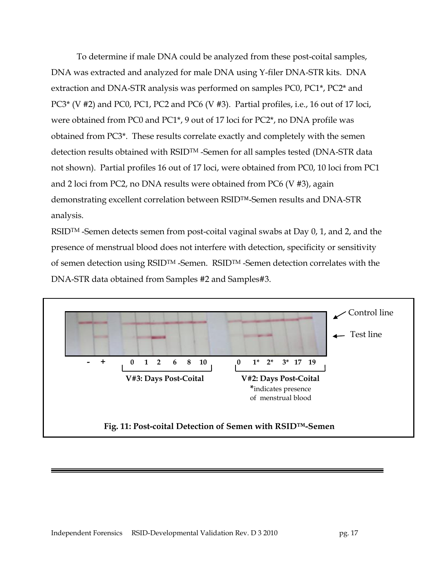To determine if male DNA could be analyzed from these post-coital samples, DNA was extracted and analyzed for male DNA using Y-filer DNA-STR kits. DNA extraction and DNA-STR analysis was performed on samples PC0, PC1\*, PC2\* and PC3\* (V #2) and PC0, PC1, PC2 and PC6 (V #3). Partial profiles, i.e., 16 out of 17 loci, were obtained from PC0 and PC1\*, 9 out of 17 loci for PC2\*, no DNA profile was obtained from PC3\*. These results correlate exactly and completely with the semen detection results obtained with RSIDTM -Semen for all samples tested (DNA-STR data not shown). Partial profiles 16 out of 17 loci, were obtained from PC0, 10 loci from PC1 and 2 loci from PC2, no DNA results were obtained from PC6 (V #3), again demonstrating excellent correlation between RSID™-Semen results and DNA-STR analysis.

RSID<sup>TM</sup> -Semen detects semen from post-coital vaginal swabs at Day 0, 1, and 2, and the presence of menstrual blood does not interfere with detection, specificity or sensitivity of semen detection using RSIDTM -Semen. RSIDTM -Semen detection correlates with the DNA-STR data obtained from Samples #2 and Samples#3.

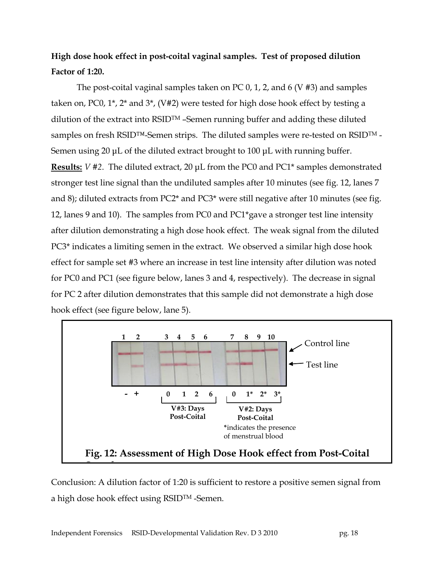# **High dose hook effect in post-coital vaginal samples. Test of proposed dilution Factor of 1:20.**

The post-coital vaginal samples taken on PC 0, 1, 2, and 6 (V #3) and samples taken on, PC0, 1\*, 2\* and 3\*, (V#2) were tested for high dose hook effect by testing a dilution of the extract into RSIDTM –Semen running buffer and adding these diluted samples on fresh RSID™-Semen strips. The diluted samples were re-tested on RSIDTM - Semen using 20 μL of the diluted extract brought to 100 μL with running buffer. **Results:** *V #2*. The diluted extract, 20 μL from the PC0 and PC1\* samples demonstrated stronger test line signal than the undiluted samples after 10 minutes (see fig. 12, lanes 7 and 8); diluted extracts from PC2\* and PC3\* were still negative after 10 minutes (see fig. 12, lanes 9 and 10). The samples from PC0 and PC1\*gave a stronger test line intensity after dilution demonstrating a high dose hook effect. The weak signal from the diluted PC3\* indicates a limiting semen in the extract. We observed a similar high dose hook effect for sample set #3 where an increase in test line intensity after dilution was noted for PC0 and PC1 (see figure below, lanes 3 and 4, respectively). The decrease in signal for PC 2 after dilution demonstrates that this sample did not demonstrate a high dose hook effect (see figure below, lane 5).



Conclusion: A dilution factor of 1:20 is sufficient to restore a positive semen signal from a high dose hook effect using RSIDTM -Semen.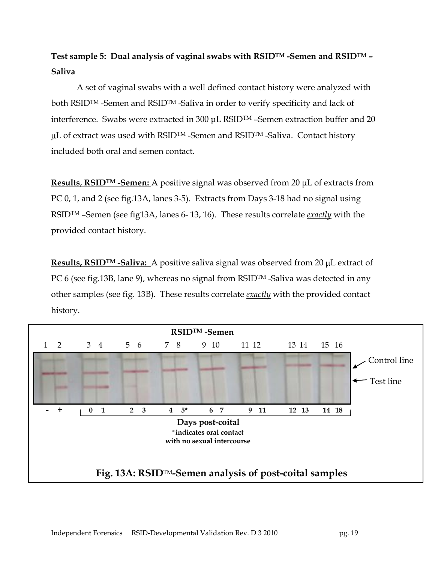# **Test sample 5: Dual analysis of vaginal swabs with RSIDTM -Semen and RSIDTM – Saliva**

A set of vaginal swabs with a well defined contact history were analyzed with both RSIDTM -Semen and RSIDTM -Saliva in order to verify specificity and lack of interference. Swabs were extracted in 300 μL RSID<sup>TM</sup> -Semen extraction buffer and 20 µL of extract was used with RSID<sup>™</sup> -Semen and RSID<sup>™</sup> -Saliva. Contact history included both oral and semen contact.

**Results**, **RSIDTM -Semen:** A positive signal was observed from 20 μL of extracts from PC 0, 1, and 2 (see fig.13A, lanes 3-5). Extracts from Days 3-18 had no signal using RSIDTM –Semen (see fig13A, lanes 6- 13, 16). These results correlate *exactly* with the provided contact history.

**Results, RSID<sup>TM</sup> -Saliva:** A positive saliva signal was observed from 20 µL extract of PC 6 (see fig.13B, lane 9), whereas no signal from RSID<sup>TM</sup> -Saliva was detected in any other samples (see fig. 13B). These results correlate *exactly* with the provided contact history.

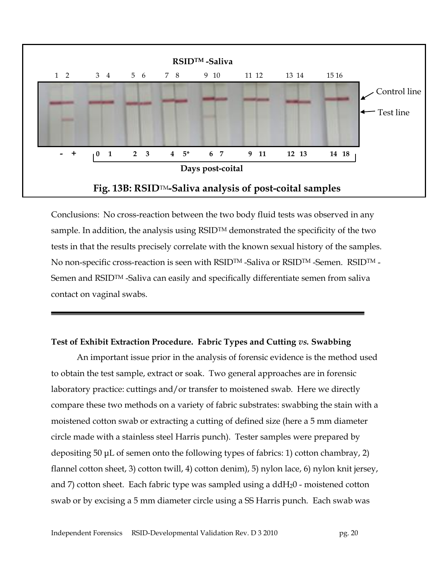

Conclusions: No cross-reaction between the two body fluid tests was observed in any sample. In addition, the analysis using  $RSID^{TM}$  demonstrated the specificity of the two tests in that the results precisely correlate with the known sexual history of the samples. No non-specific cross-reaction is seen with RSID<sup>TM</sup> -Saliva or RSID<sup>TM</sup> -Semen. RSID<sup>TM</sup> -Semen and RSIDTM -Saliva can easily and specifically differentiate semen from saliva contact on vaginal swabs.

#### **Test of Exhibit Extraction Procedure. Fabric Types and Cutting** *vs.* **Swabbing**

An important issue prior in the analysis of forensic evidence is the method used to obtain the test sample, extract or soak. Two general approaches are in forensic laboratory practice: cuttings and/or transfer to moistened swab. Here we directly compare these two methods on a variety of fabric substrates: swabbing the stain with a moistened cotton swab or extracting a cutting of defined size (here a 5 mm diameter circle made with a stainless steel Harris punch). Tester samples were prepared by depositing 50 μL of semen onto the following types of fabrics: 1) cotton chambray, 2) flannel cotton sheet, 3) cotton twill, 4) cotton denim), 5) nylon lace, 6) nylon knit jersey, and 7) cotton sheet. Each fabric type was sampled using a  $ddH<sub>2</sub>0$  - moistened cotton swab or by excising a 5 mm diameter circle using a SS Harris punch. Each swab was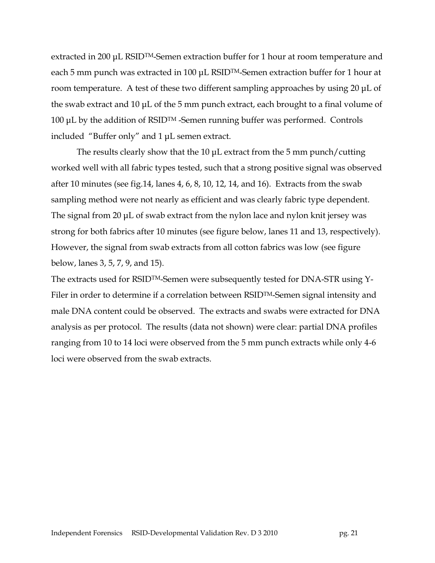extracted in 200 μL RSIDTM-Semen extraction buffer for 1 hour at room temperature and each 5 mm punch was extracted in 100 μL RSIDTM-Semen extraction buffer for 1 hour at room temperature. A test of these two different sampling approaches by using 20 μL of the swab extract and 10 μL of the 5 mm punch extract, each brought to a final volume of 100 μL by the addition of RSIDTM -Semen running buffer was performed. Controls included "Buffer only" and 1 μL semen extract.

The results clearly show that the 10 μL extract from the 5 mm punch/cutting worked well with all fabric types tested, such that a strong positive signal was observed after 10 minutes (see fig.14, lanes 4, 6, 8, 10, 12, 14, and 16). Extracts from the swab sampling method were not nearly as efficient and was clearly fabric type dependent. The signal from 20 μL of swab extract from the nylon lace and nylon knit jersey was strong for both fabrics after 10 minutes (see figure below, lanes 11 and 13, respectively). However, the signal from swab extracts from all cotton fabrics was low (see figure below, lanes 3, 5, 7, 9, and 15).

The extracts used for RSIDTM-Semen were subsequently tested for DNA-STR using Y-Filer in order to determine if a correlation between RSID<sup>TM</sup>-Semen signal intensity and male DNA content could be observed. The extracts and swabs were extracted for DNA analysis as per protocol. The results (data not shown) were clear: partial DNA profiles ranging from 10 to 14 loci were observed from the 5 mm punch extracts while only 4-6 loci were observed from the swab extracts.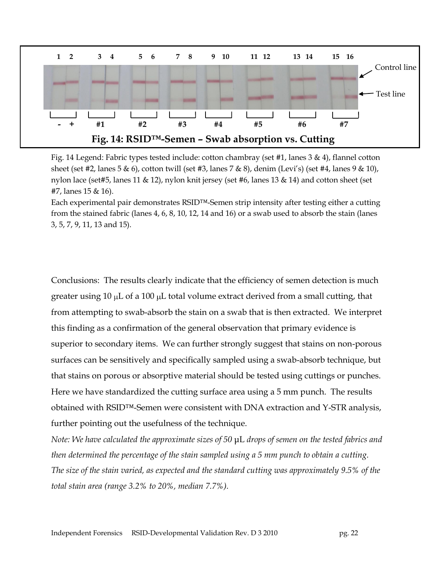

Fig. 14 Legend: Fabric types tested include: cotton chambray (set #1, lanes 3 & 4), flannel cotton sheet (set #2, lanes 5 & 6), cotton twill (set #3, lanes 7 & 8), denim (Levi's) (set #4, lanes 9 & 10), nylon lace (set#5, lanes 11 & 12), nylon knit jersey (set #6, lanes 13 & 14) and cotton sheet (set #7, lanes 15 & 16).

Each experimental pair demonstrates RSID™-Semen strip intensity after testing either a cutting from the stained fabric (lanes 4, 6, 8, 10, 12, 14 and 16) or a swab used to absorb the stain (lanes 3, 5, 7, 9, 11, 13 and 15).

Conclusions: The results clearly indicate that the efficiency of semen detection is much greater using  $10 \mu L$  of a  $100 \mu L$  total volume extract derived from a small cutting, that from attempting to swab-absorb the stain on a swab that is then extracted. We interpret this finding as a confirmation of the general observation that primary evidence is superior to secondary items. We can further strongly suggest that stains on non-porous surfaces can be sensitively and specifically sampled using a swab-absorb technique, but that stains on porous or absorptive material should be tested using cuttings or punches. Here we have standardized the cutting surface area using a 5 mm punch. The results obtained with RSID™-Semen were consistent with DNA extraction and Y-STR analysis, further pointing out the usefulness of the technique.

*Note: We have calculated the approximate sizes of 50* μL *drops of semen on the tested fabrics and then determined the percentage of the stain sampled using a 5 mm punch to obtain a cutting. The size of the stain varied, as expected and the standard cutting was approximately 9.5% of the total stain area (range 3.2% to 20%, median 7.7%).*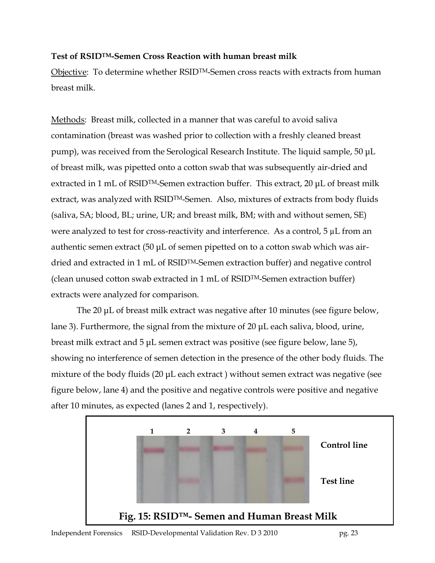### **Test of RSIDTM-Semen Cross Reaction with human breast milk**

Objective: To determine whether RSIDTM-Semen cross reacts with extracts from human breast milk.

Methods: Breast milk, collected in a manner that was careful to avoid saliva contamination (breast was washed prior to collection with a freshly cleaned breast pump), was received from the Serological Research Institute. The liquid sample, 50 μL of breast milk, was pipetted onto a cotton swab that was subsequently air-dried and extracted in 1 mL of RSID<sup>TM</sup>-Semen extraction buffer. This extract, 20 μL of breast milk extract, was analyzed with RSID<sup>TM</sup>-Semen. Also, mixtures of extracts from body fluids (saliva, SA; blood, BL; urine, UR; and breast milk, BM; with and without semen, SE) were analyzed to test for cross-reactivity and interference. As a control,  $5 \mu L$  from an authentic semen extract (50 μL of semen pipetted on to a cotton swab which was airdried and extracted in 1 mL of RSIDTM-Semen extraction buffer) and negative control (clean unused cotton swab extracted in 1 mL of RSIDTM-Semen extraction buffer) extracts were analyzed for comparison.

The 20 μL of breast milk extract was negative after 10 minutes (see figure below, lane 3). Furthermore, the signal from the mixture of 20 μL each saliva, blood, urine, breast milk extract and 5 μL semen extract was positive (see figure below, lane 5), showing no interference of semen detection in the presence of the other body fluids. The mixture of the body fluids (20 μL each extract ) without semen extract was negative (see figure below, lane 4) and the positive and negative controls were positive and negative after 10 minutes, as expected (lanes 2 and 1, respectively).

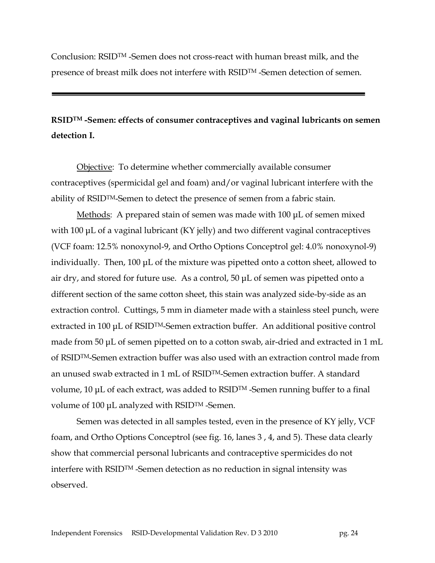Conclusion: RSIDTM -Semen does not cross-react with human breast milk, and the presence of breast milk does not interfere with RSIDTM -Semen detection of semen.

## **RSIDTM -Semen: effects of consumer contraceptives and vaginal lubricants on semen detection I.**

Objective: To determine whether commercially available consumer contraceptives (spermicidal gel and foam) and/or vaginal lubricant interfere with the ability of RSIDTM-Semen to detect the presence of semen from a fabric stain.

Methods: A prepared stain of semen was made with 100 μL of semen mixed with 100 μL of a vaginal lubricant (KY jelly) and two different vaginal contraceptives (VCF foam: 12.5% nonoxynol-9, and Ortho Options Conceptrol gel: 4.0% nonoxynol-9) individually. Then, 100 μL of the mixture was pipetted onto a cotton sheet, allowed to air dry, and stored for future use. As a control, 50 μL of semen was pipetted onto a different section of the same cotton sheet, this stain was analyzed side-by-side as an extraction control. Cuttings, 5 mm in diameter made with a stainless steel punch, were extracted in 100 μL of RSIDTM-Semen extraction buffer. An additional positive control made from 50 μL of semen pipetted on to a cotton swab, air-dried and extracted in 1 mL of RSIDTM-Semen extraction buffer was also used with an extraction control made from an unused swab extracted in 1 mL of RSIDTM-Semen extraction buffer. A standard volume, 10 μL of each extract, was added to RSIDTM -Semen running buffer to a final volume of 100 μL analyzed with RSIDTM -Semen.

Semen was detected in all samples tested, even in the presence of KY jelly, VCF foam, and Ortho Options Conceptrol (see fig. 16, lanes 3 , 4, and 5). These data clearly show that commercial personal lubricants and contraceptive spermicides do not interfere with RSIDTM -Semen detection as no reduction in signal intensity was observed.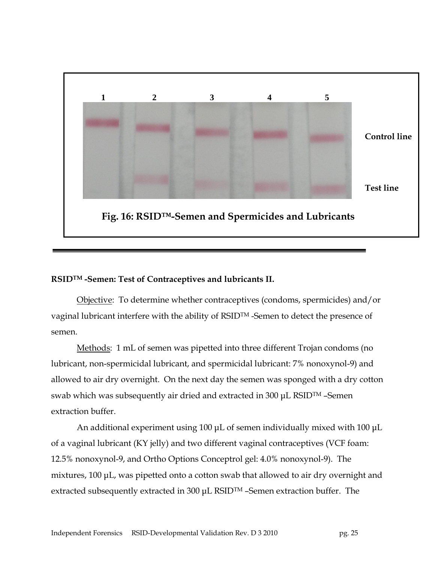

#### **RSIDTM -Semen: Test of Contraceptives and lubricants II.**

Objective: To determine whether contraceptives (condoms, spermicides) and/or vaginal lubricant interfere with the ability of RSIDTM -Semen to detect the presence of semen.

Methods: 1 mL of semen was pipetted into three different Trojan condoms (no lubricant, non-spermicidal lubricant, and spermicidal lubricant: 7% nonoxynol-9) and allowed to air dry overnight. On the next day the semen was sponged with a dry cotton swab which was subsequently air dried and extracted in 300 μL RSIDTM –Semen extraction buffer.

An additional experiment using 100 μL of semen individually mixed with 100 μL of a vaginal lubricant (KY jelly) and two different vaginal contraceptives (VCF foam: 12.5% nonoxynol-9, and Ortho Options Conceptrol gel: 4.0% nonoxynol-9). The mixtures, 100 μL, was pipetted onto a cotton swab that allowed to air dry overnight and extracted subsequently extracted in 300 μL RSIDTM –Semen extraction buffer. The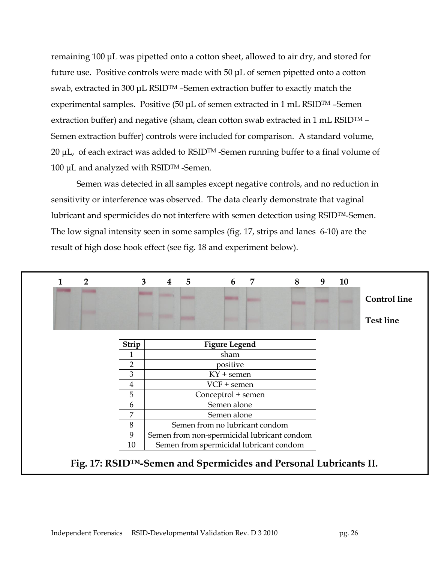remaining 100 μL was pipetted onto a cotton sheet, allowed to air dry, and stored for future use. Positive controls were made with 50 μL of semen pipetted onto a cotton swab, extracted in 300 μL RSIDTM –Semen extraction buffer to exactly match the experimental samples. Positive (50 μL of semen extracted in 1 mL RSIDTM –Semen extraction buffer) and negative (sham, clean cotton swab extracted in 1 mL RSID $TM -$ Semen extraction buffer) controls were included for comparison. A standard volume, 20  $\mu$ L, of each extract was added to RSID<sup>TM</sup> -Semen running buffer to a final volume of 100 μL and analyzed with RSIDTM -Semen.

Semen was detected in all samples except negative controls, and no reduction in sensitivity or interference was observed. The data clearly demonstrate that vaginal lubricant and spermicides do not interfere with semen detection using RSID™-Semen. The low signal intensity seen in some samples (fig. 17, strips and lanes 6-10) are the result of high dose hook effect (see fig. 18 and experiment below).

|       |                                             |  |  |  | <b>Control line</b> |  |  |
|-------|---------------------------------------------|--|--|--|---------------------|--|--|
|       |                                             |  |  |  | <b>Test line</b>    |  |  |
| Strip | <b>Figure Legend</b>                        |  |  |  |                     |  |  |
| 1     | sham                                        |  |  |  |                     |  |  |
| 2     | positive                                    |  |  |  |                     |  |  |
| 3     | $KY + semen$                                |  |  |  |                     |  |  |
| 4     | VCF + semen                                 |  |  |  |                     |  |  |
| 5     | Conceptrol + semen                          |  |  |  |                     |  |  |
| 6     | Semen alone                                 |  |  |  |                     |  |  |
| 7     | Semen alone                                 |  |  |  |                     |  |  |
| 8     | Semen from no lubricant condom              |  |  |  |                     |  |  |
| 9     | Semen from non-spermicidal lubricant condom |  |  |  |                     |  |  |
| 10    | Semen from spermicidal lubricant condom     |  |  |  |                     |  |  |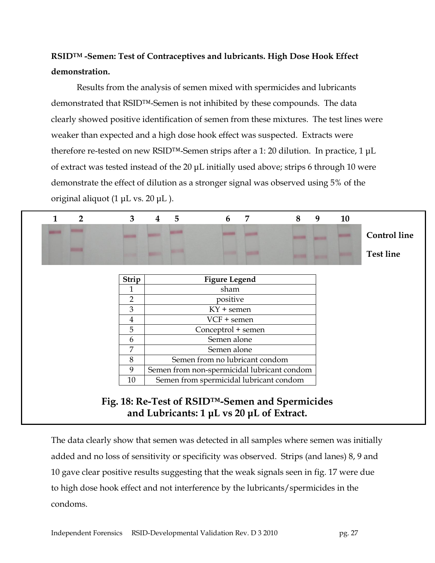# **RSIDTM -Semen: Test of Contraceptives and lubricants. High Dose Hook Effect demonstration.**

Results from the analysis of semen mixed with spermicides and lubricants demonstrated that RSID™-Semen is not inhibited by these compounds. The data clearly showed positive identification of semen from these mixtures. The test lines were weaker than expected and a high dose hook effect was suspected. Extracts were therefore re-tested on new RSID™-Semen strips after a 1: 20 dilution. In practice, 1 μL of extract was tested instead of the 20 μL initially used above; strips 6 through 10 were demonstrate the effect of dilution as a stronger signal was observed using 5% of the original aliquot (1 μL vs. 20 μL ).



The data clearly show that semen was detected in all samples where semen was initially added and no loss of sensitivity or specificity was observed. Strips (and lanes) 8, 9 and 10 gave clear positive results suggesting that the weak signals seen in fig. 17 were due to high dose hook effect and not interference by the lubricants/spermicides in the condoms.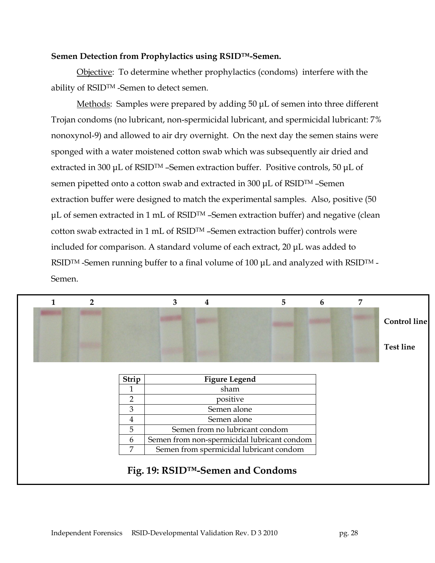#### **Semen Detection from Prophylactics using RSID™-Semen.**

Objective: To determine whether prophylactics (condoms) interfere with the ability of RSIDTM -Semen to detect semen.

Methods: Samples were prepared by adding 50 μL of semen into three different Trojan condoms (no lubricant, non-spermicidal lubricant, and spermicidal lubricant: 7% nonoxynol-9) and allowed to air dry overnight. On the next day the semen stains were sponged with a water moistened cotton swab which was subsequently air dried and extracted in 300 μL of RSIDTM –Semen extraction buffer. Positive controls, 50 μL of semen pipetted onto a cotton swab and extracted in 300 μL of RSIDTM –Semen extraction buffer were designed to match the experimental samples. Also, positive (50 μL of semen extracted in 1 mL of RSIDTM –Semen extraction buffer) and negative (clean cotton swab extracted in 1 mL of RSIDTM –Semen extraction buffer) controls were included for comparison. A standard volume of each extract, 20 μL was added to RSIDTM -Semen running buffer to a final volume of 100 μL and analyzed with RSIDTM - Semen.

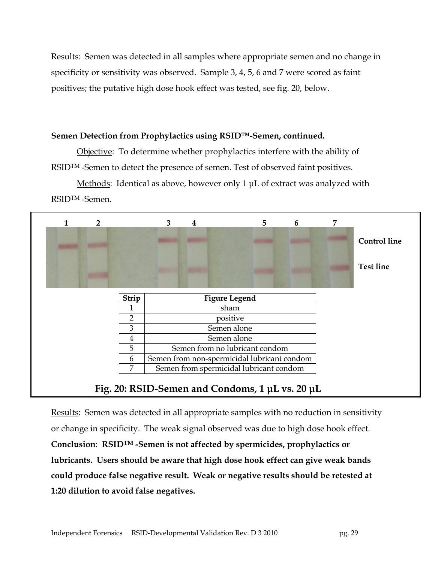Results: Semen was detected in all samples where appropriate semen and no change in specificity or sensitivity was observed. Sample 3, 4, 5, 6 and 7 were scored as faint positives; the putative high dose hook effect was tested, see fig. 20, below.

#### **Semen Detection from Prophylactics using RSID™-Semen, continued.**

Objective: To determine whether prophylactics interfere with the ability of RSID<sup>TM</sup> -Semen to detect the presence of semen. Test of observed faint positives.

Methods: Identical as above, however only 1 µL of extract was analyzed with RSIDTM -Semen.



Results: Semen was detected in all appropriate samples with no reduction in sensitivity or change in specificity. The weak signal observed was due to high dose hook effect. **Conclusion**: **RSIDTM -Semen is not affected by spermicides, prophylactics or lubricants. Users should be aware that high dose hook effect can give weak bands could produce false negative result. Weak or negative results should be retested at 1:20 dilution to avoid false negatives.**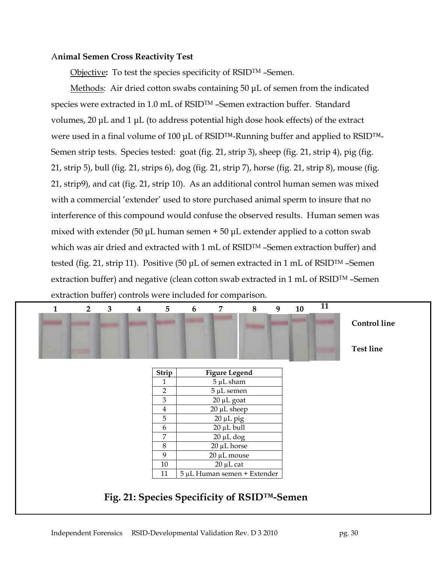#### A**nimal Semen Cross Reactivity Test**

Objective: To test the species specificity of RSID<sup>TM</sup> -Semen.

Methods: Air dried cotton swabs containing 50 μL of semen from the indicated species were extracted in 1.0 mL of RSID<sup>TM</sup> -Semen extraction buffer. Standard volumes, 20 μL and 1 μL (to address potential high dose hook effects) of the extract were used in a final volume of 100 μL of RSID<sup>TM</sup>-Running buffer and applied to RSID<sup>TM</sup>-Semen strip tests. Species tested: goat (fig. 21, strip 3), sheep (fig. 21, strip 4), pig (fig. 21, strip 5), bull (fig. 21, strips 6), dog (fig. 21, strip 7), horse (fig. 21, strip 8), mouse (fig. 21, strip9), and cat (fig. 21, strip 10). As an additional control human semen was mixed with a commercial 'extender' used to store purchased animal sperm to insure that no interference of this compound would confuse the observed results. Human semen was mixed with extender (50  $\mu$ L human semen + 50  $\mu$ L extender applied to a cotton swab which was air dried and extracted with 1 mL of RSID<sup>TM</sup> -Semen extraction buffer) and tested (fig. 21, strip 11). Positive (50 μL of semen extracted in 1 mL of RSIDTM –Semen extraction buffer) and negative (clean cotton swab extracted in 1 mL of RSIDTM –Semen extraction buffer) controls were included for comparison.

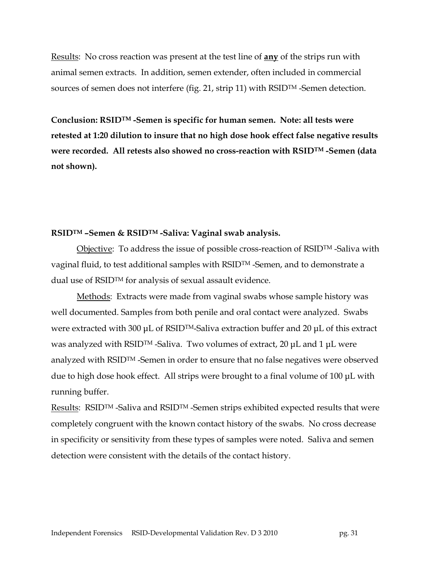Results: No cross reaction was present at the test line of **any** of the strips run with animal semen extracts. In addition, semen extender, often included in commercial sources of semen does not interfere (fig. 21, strip 11) with RSIDTM -Semen detection.

**Conclusion: RSIDTM -Semen is specific for human semen. Note: all tests were retested at 1:20 dilution to insure that no high dose hook effect false negative results were recorded. All retests also showed no cross-reaction with RSIDTM -Semen (data not shown).** 

#### **RSIDTM –Semen & RSIDTM -Saliva: Vaginal swab analysis.**

Objective: To address the issue of possible cross-reaction of RSID<sup>TM</sup>-Saliva with vaginal fluid, to test additional samples with RSIDTM -Semen, and to demonstrate a dual use of RSID™ for analysis of sexual assault evidence.

Methods: Extracts were made from vaginal swabs whose sample history was well documented. Samples from both penile and oral contact were analyzed. Swabs were extracted with 300 μL of RSIDTM-Saliva extraction buffer and 20 μL of this extract was analyzed with RSIDTM -Saliva. Two volumes of extract, 20 μL and 1 μL were analyzed with RSIDTM -Semen in order to ensure that no false negatives were observed due to high dose hook effect. All strips were brought to a final volume of 100 μL with running buffer.

Results: RSID<sup>TM</sup> -Saliva and RSID<sup>TM</sup> -Semen strips exhibited expected results that were completely congruent with the known contact history of the swabs. No cross decrease in specificity or sensitivity from these types of samples were noted. Saliva and semen detection were consistent with the details of the contact history.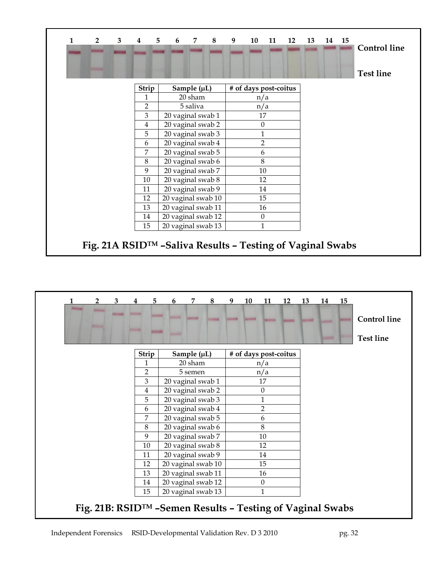| $\mathbf{1}$ | $\overline{2}$ | 3 | $\bf{4}$       | 5<br>6 | 7                  | 8 | 9                     | 10           |  | 11 12 | 13 |  | 14 15 | <b>Control</b> line |
|--------------|----------------|---|----------------|--------|--------------------|---|-----------------------|--------------|--|-------|----|--|-------|---------------------|
|              |                |   |                |        |                    |   |                       |              |  |       |    |  |       | <b>Test line</b>    |
|              |                |   | Strip          |        | Sample $(\mu L)$   |   | # of days post-coitus |              |  |       |    |  |       |                     |
|              |                |   | 1              |        | 20 sham            |   |                       | n/a          |  |       |    |  |       |                     |
|              |                |   | $\overline{2}$ |        | 5 saliva           |   |                       | n/a          |  |       |    |  |       |                     |
|              |                |   | 3              |        | 20 vaginal swab 1  |   |                       | 17           |  |       |    |  |       |                     |
|              |                |   | 4              |        | 20 vaginal swab 2  |   |                       | $\theta$     |  |       |    |  |       |                     |
|              |                |   | 5              |        | 20 vaginal swab 3  |   |                       | $\mathbf{1}$ |  |       |    |  |       |                     |
|              |                |   | 6              |        | 20 vaginal swab 4  |   |                       |              |  |       |    |  |       |                     |
|              |                |   | 7              |        | 20 vaginal swab 5  |   |                       | 6            |  |       |    |  |       |                     |
|              |                |   | 8              |        | 20 vaginal swab 6  |   |                       | 8            |  |       |    |  |       |                     |
|              |                |   | 9              |        | 20 vaginal swab 7  |   |                       | 10           |  |       |    |  |       |                     |
|              |                |   | 10             |        | 20 vaginal swab 8  |   |                       | 12           |  |       |    |  |       |                     |
|              |                |   | 11             |        | 20 vaginal swab 9  |   |                       | 14           |  |       |    |  |       |                     |
|              |                |   | 12             |        | 20 vaginal swab 10 |   |                       | 15           |  |       |    |  |       |                     |
|              |                |   | 13             |        | 20 vaginal swab 11 |   |                       | 16           |  |       |    |  |       |                     |
|              |                |   | 14             |        | 20 vaginal swab 12 |   |                       | $\mathbf{0}$ |  |       |    |  |       |                     |
|              |                |   | 15             |        | 20 vaginal swab 13 |   |                       | $\mathbf{1}$ |  |       |    |  |       |                     |

| 3<br>$\overline{2}$                                       | 5 <sup>1</sup><br>$\overline{4}$    | 6                  | 7                | 8 | 9 | 10 | 11               | 12                    | 13 | 14            | 15 |                     |
|-----------------------------------------------------------|-------------------------------------|--------------------|------------------|---|---|----|------------------|-----------------------|----|---------------|----|---------------------|
| <b>Britannia</b>                                          | <b>Monthly</b><br><b>STATISTICS</b> |                    |                  |   |   |    |                  |                       |    |               |    | <b>Control</b> line |
|                                                           |                                     |                    |                  |   |   |    |                  |                       |    | <b>STEERS</b> |    | <b>Test line</b>    |
|                                                           | Strip                               |                    | Sample $(\mu L)$ |   |   |    |                  | # of days post-coitus |    |               |    |                     |
|                                                           | 1                                   |                    | 20 sham          |   |   |    | n/a              |                       |    |               |    |                     |
|                                                           | 2                                   |                    | 5 semen          |   |   |    | n/a              |                       |    |               |    |                     |
|                                                           | 3                                   | 20 vaginal swab 1  |                  |   |   |    | 17               |                       |    |               |    |                     |
|                                                           | $\overline{4}$                      | 20 vaginal swab 2  |                  |   |   |    | $\boldsymbol{0}$ |                       |    |               |    |                     |
|                                                           | 5                                   | 20 vaginal swab 3  |                  |   |   |    | 1                |                       |    |               |    |                     |
|                                                           | 6                                   | 20 vaginal swab 4  |                  |   |   |    | $\overline{2}$   |                       |    |               |    |                     |
|                                                           | 7                                   | 20 vaginal swab 5  |                  |   |   |    | 6                |                       |    |               |    |                     |
|                                                           | 8                                   | 20 vaginal swab 6  |                  |   |   |    | 8                |                       |    |               |    |                     |
|                                                           | 9                                   | 20 vaginal swab 7  |                  |   |   |    | 10               |                       |    |               |    |                     |
|                                                           | 10                                  | 20 vaginal swab 8  |                  |   |   |    | 12               |                       |    |               |    |                     |
|                                                           | 11                                  | 20 vaginal swab 9  |                  |   |   |    | 14               |                       |    |               |    |                     |
|                                                           | 12                                  | 20 vaginal swab 10 |                  |   |   |    | 15               |                       |    |               |    |                     |
|                                                           | 13                                  | 20 vaginal swab 11 |                  |   |   |    | 16               |                       |    |               |    |                     |
|                                                           | 14                                  | 20 vaginal swab 12 |                  |   |   |    | $\theta$         |                       |    |               |    |                     |
|                                                           | 15                                  | 20 vaginal swab 13 |                  |   |   |    | 1                |                       |    |               |    |                     |
| Fig. 21B: RSID™ -Semen Results - Testing of Vaginal Swabs |                                     |                    |                  |   |   |    |                  |                       |    |               |    |                     |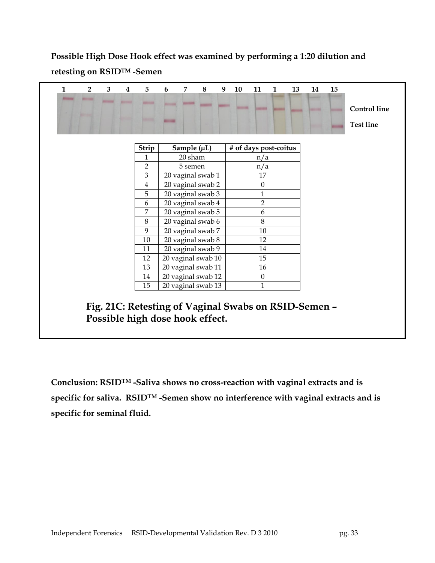# **Possible High Dose Hook effect was examined by performing a 1:20 dilution and retesting on RSIDTM -Semen**

| 1 | $\overline{2}$ | 3               | $\overline{4}$ | 5                                                                                       | 6 | 7       | 8                  | 9 | 10 | 11                    | $\mathbf{1}$ | 13 | 14 | 15 |                                         |
|---|----------------|-----------------|----------------|-----------------------------------------------------------------------------------------|---|---------|--------------------|---|----|-----------------------|--------------|----|----|----|-----------------------------------------|
|   |                | <b>ANTIQUES</b> |                |                                                                                         |   |         | <b>CONTRACTOR</b>  |   |    |                       |              |    |    |    | <b>Control</b> line<br><b>Test line</b> |
|   |                |                 |                |                                                                                         |   |         |                    |   |    |                       |              |    |    |    |                                         |
|   |                |                 |                | Strip                                                                                   |   |         | Sample (µL)        |   |    | # of days post-coitus |              |    |    |    |                                         |
|   |                |                 |                | 1                                                                                       |   | 20 sham |                    |   |    | n/a                   |              |    |    |    |                                         |
|   |                |                 |                | $\overline{2}$                                                                          |   | 5 semen |                    |   |    | n/a                   |              |    |    |    |                                         |
|   |                |                 |                | 3                                                                                       |   |         | 20 vaginal swab 1  |   |    | 17                    |              |    |    |    |                                         |
|   |                |                 |                | 4                                                                                       |   |         | 20 vaginal swab 2  |   |    | $\theta$              |              |    |    |    |                                         |
|   |                |                 |                | 5                                                                                       |   |         | 20 vaginal swab 3  |   |    | 1                     |              |    |    |    |                                         |
|   |                |                 |                | 6                                                                                       |   |         | 20 vaginal swab 4  |   |    | $\overline{2}$        |              |    |    |    |                                         |
|   |                |                 |                | 7                                                                                       |   |         | 20 vaginal swab 5  |   |    | 6                     |              |    |    |    |                                         |
|   |                |                 |                | 8                                                                                       |   |         | 20 vaginal swab 6  |   |    | 8                     |              |    |    |    |                                         |
|   |                |                 |                | 9                                                                                       |   |         | 20 vaginal swab 7  |   |    | 10                    |              |    |    |    |                                         |
|   |                |                 |                | 10                                                                                      |   |         | 20 vaginal swab 8  |   |    | 12                    |              |    |    |    |                                         |
|   |                |                 |                | 11                                                                                      |   |         | 20 vaginal swab 9  |   |    | 14                    |              |    |    |    |                                         |
|   |                |                 |                | 12                                                                                      |   |         | 20 vaginal swab 10 |   |    | 15                    |              |    |    |    |                                         |
|   |                |                 |                | 13                                                                                      |   |         | 20 vaginal swab 11 |   |    | 16                    |              |    |    |    |                                         |
|   |                |                 |                | 14                                                                                      |   |         | 20 vaginal swab 12 |   |    | $\boldsymbol{0}$      |              |    |    |    |                                         |
|   |                |                 |                | 15                                                                                      |   |         | 20 vaginal swab 13 |   |    | 1                     |              |    |    |    |                                         |
|   |                |                 |                | Fig. 21C: Retesting of Vaginal Swabs on RSID-Semen -<br>Possible high dose hook effect. |   |         |                    |   |    |                       |              |    |    |    |                                         |

**Conclusion: RSIDTM -Saliva shows no cross-reaction with vaginal extracts and is specific for saliva. RSIDTM -Semen show no interference with vaginal extracts and is specific for seminal fluid.**